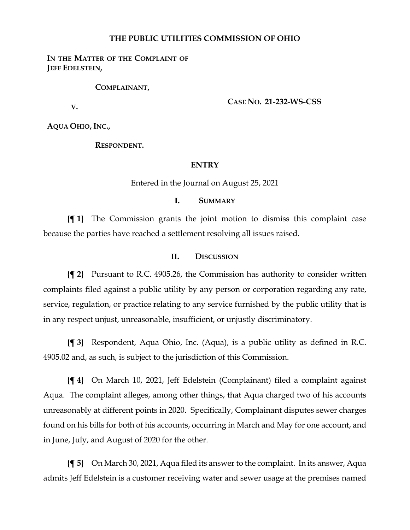## **THE PUBLIC UTILITIES COMMISSION OF OHIO**

## **IN THE MATTER OF THE COMPLAINT OF JEFF EDELSTEIN,**

#### **COMPLAINANT,**

**V.**

**CASE NO. 21-232-WS-CSS**

**AQUA OHIO, INC.,**

**RESPONDENT.**

#### **ENTRY**

Entered in the Journal on August 25, 2021

### **I. SUMMARY**

**{¶ 1}** The Commission grants the joint motion to dismiss this complaint case because the parties have reached a settlement resolving all issues raised.

#### **II. DISCUSSION**

**{¶ 2}** Pursuant to R.C. 4905.26, the Commission has authority to consider written complaints filed against a public utility by any person or corporation regarding any rate, service, regulation, or practice relating to any service furnished by the public utility that is in any respect unjust, unreasonable, insufficient, or unjustly discriminatory.

**{¶ 3}** Respondent, Aqua Ohio, Inc. (Aqua), is a public utility as defined in R.C. 4905.02 and, as such, is subject to the jurisdiction of this Commission.

**{¶ 4}** On March 10, 2021, Jeff Edelstein (Complainant) filed a complaint against Aqua. The complaint alleges, among other things, that Aqua charged two of his accounts unreasonably at different points in 2020. Specifically, Complainant disputes sewer charges found on his bills for both of his accounts, occurring in March and May for one account, and in June, July, and August of 2020 for the other.

**{¶ 5}** On March 30, 2021, Aqua filed its answer to the complaint. In its answer, Aqua admits Jeff Edelstein is a customer receiving water and sewer usage at the premises named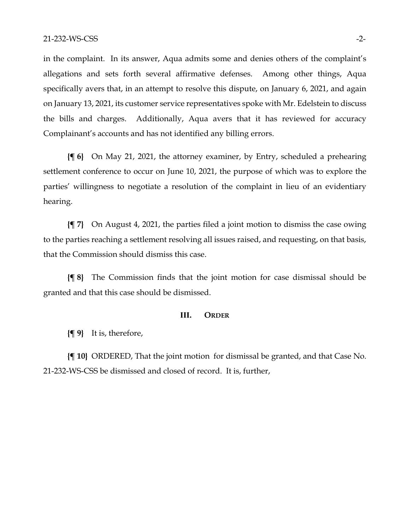in the complaint. In its answer, Aqua admits some and denies others of the complaint's allegations and sets forth several affirmative defenses. Among other things, Aqua specifically avers that, in an attempt to resolve this dispute, on January 6, 2021, and again on January 13, 2021, its customer service representatives spoke with Mr. Edelstein to discuss the bills and charges. Additionally, Aqua avers that it has reviewed for accuracy Complainant's accounts and has not identified any billing errors.

**{¶ 6}** On May 21, 2021, the attorney examiner, by Entry, scheduled a prehearing settlement conference to occur on June 10, 2021, the purpose of which was to explore the parties' willingness to negotiate a resolution of the complaint in lieu of an evidentiary hearing.

**{¶ 7}** On August 4, 2021, the parties filed a joint motion to dismiss the case owing to the parties reaching a settlement resolving all issues raised, and requesting, on that basis, that the Commission should dismiss this case.

**{¶ 8}** The Commission finds that the joint motion for case dismissal should be granted and that this case should be dismissed.

### **III. ORDER**

**{¶ 9}** It is, therefore,

**{¶ 10}** ORDERED, That the joint motion for dismissal be granted, and that Case No. 21-232-WS-CSS be dismissed and closed of record. It is, further,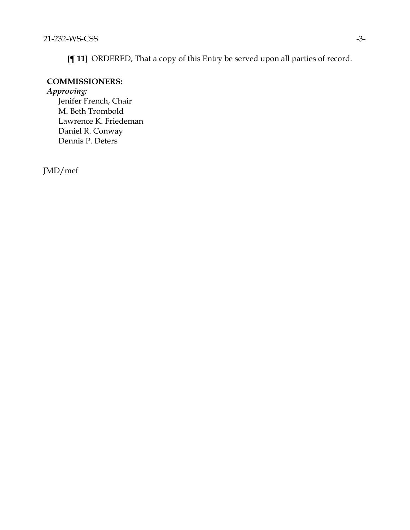**{¶ 11}** ORDERED, That a copy of this Entry be served upon all parties of record.

# **COMMISSIONERS:**

*Approving:* 

Jenifer French, Chair M. Beth Trombold Lawrence K. Friedeman Daniel R. Conway Dennis P. Deters

JMD/mef